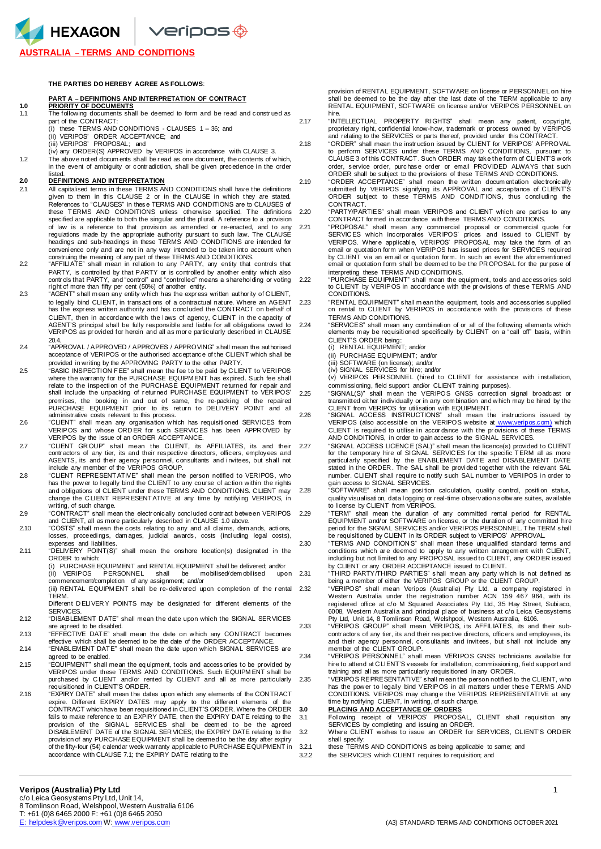$\blacktriangle$  HEXAGON  $\blacktriangleright$  veripos $\textcircled{\tiny{\oplus}}$ 

## **AUSTRALIA** – **TERMS AND CONDITIONS**

**THE PARTIES DO HEREBY AGREE AS FOLLOWS**:

### **PDEFINITIONS AND INTERPRETATION OF CONTRACT**

# **1.0 PRIORITY OF DOCUMENTS**

- The following documents shall be deemed to form and be read and construed as part of the CONTRACT: (i) these TERMS AND CONDITIONS - CLAUSES 1 – 36; and
- 
- (ii) VERIPOS' ORDER ACCEPTANCE; and (iii) VERIPOS' PROPOSAL; and
- (iv) any ORDER(S) APPROVED by VERIPOS in accordance with CLAUSE 3.
- 1.2 The above noted docum ents shall be r ead as one document, the contents of w hich, in the event of ambiguity or contradiction, shall be given precedence in the order listed.

## **2.0 DEFINITIONS AND INTERPRETATION**

- 2.1 All capitalised terms in these TERMS AND CONDITIONS shall have the definitions given to them in this CLAUSE 2 or in the CLAUSE in which they are stated. References to "CLAUSES" in these TERMS AND CONDITIONS are to CLAUSES of these TERMS AND CONDITIONS unless otherwise specified The definitions 220 these TERMS AND CONDITIONS unless otherwise specified. The definitions specified are applicable to both the singular and the pl ural. A reference to a provision of law is a reference to that provision as amended or re-enacted, and to any regulations made by the appropriate authority pursuant to such law. The CLAUSE headings and sub-headings in these TERMS AND CONDITIONS are intended for conveni ence only and are not in any way intended to be taken into account when construing the meaning of any part of these TERMS AND CONDITIONS.
- 2.2 "AFFILIATE" shall mean in rel ation to any PARTY, any entity that controls that PARTY, is controlled by that PARTY or is controlled by another entity which also controls that PARTY, and "control" and "controlled" means a shareholding or voting 2.22
- right of more than fifty per cent (50%) of another entity. 2.3 "AGENT" shall m ean any enti ty w hich has the expr ess written authority of C LIENT, to legally bind CLIENT, in transacti ons of a contractual nature. Where an AGENT has the expr ess written authority and has concl uded the CONTRACT on behalf of CLIENT, then in accordance with the laws of agency, CLIENT in the capacity of AGENT'S principal shall be fully responsible and liable for all obligations owed to<br>VERIPOS as provided for herein and all as more particularly described in CLAUSE 20.4.
- 2.4 "APPROVAL / APPROVED / APPROVES / APPROVING" shall mean the authorised acceptance of VERIPOS or the authorised acceptance of the CLIENT which shall be provided in writing by the APPROVING PARTY to the other PARTY.
- "BASIC INSPECTION FEE" shall mean the fee to be paid by CLIENT to VERIPOS<br>where the warranty for the PURCHASE EQUIPMENT has expired. Such fee shall<br>relate to the inspection of the PURCHASE EQUIPMENT returned for repair and shall include the unpacking of returned PURCHASE EQUIPMENT to VERIPOS' 2.25 premises, the booking in and out of same, the re-packing of the repaired<br>PURCHASE EQUIPMENT prior to its return to DELIVERY POINT and all<br>administrative costs relevant to this process.
- 2.6 "CLIENT" shall mean any organisation w hich has requisiti oned SERVICES from VERIPOS and whose ORDER for such SERVICES has been APPROVED by<br>VERIPOS by the issue of an ORDER ACCEPTANCE.
- 2.7 "CLIENT GROUP" shall mean the CLIENT, its AFFILIATES, its and their 2.27 contractors of any tier, its and their respective directors, officers, employees and<br>AGENTS, its and their agency personnel, consultants and i nvitees, but shall not<br>include any member of the VERIPOS GROUP.
- 2.8 "CLIENT REPRESENTATIVE" shall mean the person notified to VERIPOS, who has the pow er to l egally bind the CLIENT to any course of action within the rights and obligations of CLIENT under these TERMS AND CONDITIONS. C LIENT may change the C LIENT REPR ESENTATIVE at any time by notifyi ng VERIPOS, in writing, of such change.
- 2.9 "CONTRACT" shall mean the electr onically concl uded contr act between VERIPOS and CLIENT, all as more particularly described in CLAUSE 1.0 above.
- 2.10 "COSTS" shall mean the costs relating to any and all claims, dem ands, actions losses, proceedi ngs, dam ages, judicial awards, costs (incl uding legal costs), expenses and liabilities.
- 2.11 "DELIVERY POINT(S)" shall mean the onshore location(s) designated in the ORDER to which:
	- (i) PURCHASE EQUIPMENT and RENTAL EQUIPMENT shall be delivered; and/or<br>(ii) VERIPOS PERSONNEL shall be mobilised/demobilised upon 2.31 (ii) VERIPOS PERSONNEL shall be mobilised/dem obilised upon commencement/completion of any assignment; and/or

(iii) RENTAL EQUIPM ENT shall be re-delivered upon completion of the rental 2.32 **TERM** 

Different D ELIVER Y POINTS may be designated for different elements of the SERVICES.

- 2.12 "DISABLEMENT D ATE" shall mean the date upon which the SIGN AL SER VICES are agreed to be disabled.
- 2.13 "EFFECTIVE DATE" shall mean the date on w hich any CONTRACT becomes

effective which shall be deemed to be the date of the ORDER ACCEPTANCE. 2.14 "ENABLEMENT DATE" shall mean the date upon which SIGNAL SERVICES are agreed to be enabled.

- EQUIPMENT" shall mean the equipment, tools and accessories to be provided by.<br>VERIPOS under these TERMS AND CONDITIONS. Such EQUIPMENT shall be<br>purchased by CLIENT and/or rented by CLIENT and all as more particularly requisitioned in CLIENT'S ORDER.
- 2.16 "EXPIRY DATE" shall mean the dates upon which any elements of the CONTRACT expire. Different EXPIRY DATES may apply to the different elements of the<br>CONTRACT which have been requisitioned in CLIENT'S ORDER. Where the ORDER<br>fails to make reference to an EXPIRY DATE, then the EXPIRY DATE relating t provision of the SIGNAL SERVICES shall be deemed to be the agreed<br>DISABLEMENT DATE of the SIGNAL SERVICES; the EXPIRY DATE relating to the<br>provision of any PURCHASE EQUIPMENT shall be deemed to be the day after expiry<br>of t accordance with CLAUSE 7.1; the EXPIRY DATE relating to the

provision of RENTAL EQUIPMENT, SOFTWARE on license or PERSONNEL on hire shall be deemed to be the day after the last date of the TERM applicable to any RENTAL EQUIPMENT, SOFTWARE on license and/or VERIPOS PERSONNEL on hire.

2.17 "INTELLECTUAL PROPERTY RIGHTS" shall mean any patent, copyright, proprietary right, confidential know-how, trademark or process owned by VERIPOS and relating to the SERVICES or parts thereof, provided under this CONTRACT.

2.18 "ORDER" shall mean the instr uction issued by CLIENT for VERIPOS' APPROVAL to perform SER VICES under these TERMS AND CONDITIONS, pursuant to CLAUSE 3 of this CONTRACT. Such ORDER may take the form of CLIENT'S w ork order, service order, purchase order or email PROVIDED ALWAYS that such ORDER shall be subject to the provisions of these TERMS AND CONDITIONS.

- 2.19 "ORDER ACCEPTANCE" shall mean the written docum entation electronically submitted by VERIPOS signifying its APPROVAL and acceptance of C LIENT'S ORDER subject to these TERMS AND CONDITIONS, thus concluding the CONTRACT.
	- "PARTY/PARTIES" shall mean VERIPOS and CLIENT which are parties to any CONTRACT formed in accordance with these TERMS AND CONDITIONS.
- 2.21 "PROPOSAL" shall mean any commercial proposal or commercial quote for SERVICES which incorporates VERIPOS' prices and issued to CLIENT by VERIPOS. Where applicable, VERIPOS' PROPOSAL may take the form of an<br>email or quotation form when VERIPOS has issued prices for SERVICES required by CLIENT via an em ail or quotation form. In such an event the afor ementioned email or quotation form shall be deem ed to be the PR OPOSAL for the pur pose of interpreting these TERMS AND CONDITIONS.
	- 2.22 "PURCHASE EQU IPMENT" shall mean the equipm ent, tools and accessories sold to CLIENT by VERIPOS in accordance with the pr ovisions of these TERMS AND CONDITIONS.

2.23 "RENTAL EQUIPMENT" shall m ean the equipment, tools and accessories supplied on rental to CLIENT by VERIPOS in accordance with the provisions of these TERMS AND CONDITIONS.

2.24 "SERVICES" shall mean any combi nati on of or all of the following el ements which elements m ay be requisiti oned specifically by CLIENT on a "call off" basis, within CLIENT'S ORDER being:

(i) RENTAL EQUIPMENT; and/or

- (ii) PURCHASE EQUIPMENT; and/or
- (iii) SOFTWARE (on license); and/or

(iv) SIGNAL SERVICES for hire; and/or (v) VERIPOS PER SONNEL (hired to CLIENT for assistance with i nstallation, commissioning, field support and/or CLIENT training purposes).

2.25 "SIGNAL(S)" shall m ean the VERIPOS GNSS correcti on signal broadcast or

transmitted either individually or in any combination and which may be hired by the<br>CLIENT from VERIPOS for utilisation with EQUIPMENT.<br>2.26 "SIGNAL ACCESS INSTRUCTIONS" shall mean the instructions issued by<br>VERIPOS (also CLIENT is required to utilise in accordance with the provisions of these TERMS<br>AND CONDITIONS, in order to gain access to the SIGNAL SERVICES.

2.27 "SIGNAL ACCESS LICENCE (SAL)" shall mean the licence(s) provided to CLIENT<br>for the temporary hire of SIGNAL SERVICES for the specific TERM all as more<br>particularly specified by the ENABLENDENT DATE and DISABLEMENT DAT number. CLIENT shall require to notify such SAL number to VERIPOS in order to

gain access to SIGNAL SERVICES.<br>2.28 "SOFTWARE" shall mean position calculation, quality control, position status, quality visualisati on, data l ogging or real-time observation softw are suites, available to license by CLIENT from VERIPOS.

2.29 "TERM" shall mean the dur ation of any committed rental period for RENTAL EQUIPMENT and/or SOFTWARE on license, or the duration of any committed hire period for the SIGNAL SERVIC ES and/or VERIPOS PERSONNEL. The TERM shall be requisitioned by CLIENT in its ORDER subject to VERIPOS' APPROVAL.

2.30 "TERMS AND CONDITION S" shall mean these unqualified standard terms and conditions which ar e deemed to apply to any written arrangem ent with CLIENT, includi ng but not limited to any PROPOSAL issued to CLIENT, any ORD ER issued by CLIENT or any ORDER ACCEPTANCE issued to CLIENT.

2.31 "THIRD PARTY/THIRD PARTIES" shall mean any party w hich is not defined as being a member of either the VERIPOS GROUP or the CLIENT GROUP.

2.32 "VERIPOS" shall mean Veripos (Austr alia) Pty Ltd, a company registered in Western Australia under the registration number ACN 159 467 964, with its registered office at c/o M Squared Associ ates Pty Ltd, 35 Hay Street, Subi aco, 6008, Western Australi a and principal pl ace of business at c/o Leica Geosystems Pty Ltd, Unit 14, 8 Tomlinson Road, Welshpool, Western Australia, 6106. 2.33 "VERIPOS GROUP" shall mean VER IPOS, i ts AFFILIATES, its and their sub-

contr actors of any tier, its and their respective directors, officers and employees, its and their agency personnel, consultants and invitees, but shall not include any member of the CLIENT GROUP.

2.34 "VERIPOS PERSONNEL" shall mean VERIPOS GNSS technicians available for hire to attend at C LIENT'S vessels for installation, commissioni ng, fi eld support and training and all as more particularly requisitioned in any ORDER.

2.35 "VERIPOS REPRESENTATIVE" shall m ean the person notifi ed to the CLIENT, who has the pow er to l egally bind VERIPOS in all matters under these TERMS AND CONDITIONS. VERIPOS may chang e the VERIPOS REPRESENTATIVE at any time by notifying CLIENT, in writing, of such change.

### **3.0 PLACING AND ACCEPTANCE OF ORDERS**

3.1 Following receipt of VERIPOS' PROPOSAL, CLIENT shall requisition any SERVICES by completing and issuing an ORDER. 3.2 Where CLIENT wishes to issue an ORDER for SER VICES, CLIENT'S ORD ER

shall specify: 3.2.1 these TERMS AND CONDITIONS as being applicable to same; and

3.2.2 the SERVICES which CLIENT requires to requisition; and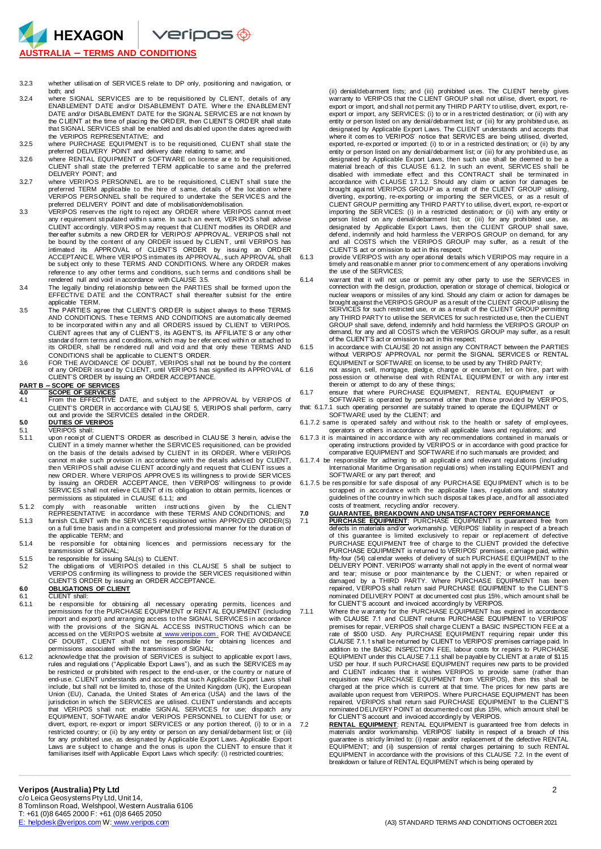**HEXAGON**  $\vee$ eripos $\circledast$ **AUSTRALIA – TERMS AND CONDITIONS**

- 3.2.3 whether utilisati on of SER VICES relate to DP only, positioning and navigation, or both; and
- 3.2.4 where SIGNAL SERVICES are to be requisitioned by CLIENT, details of any ENABLEMENT D ATE and/or DISABLEMENT D ATE. Wher e the ENABLEM ENT DATE and/or DISABLEMENT DATE for the SIGN AL SERVIC ES ar e not known by the CLIENT at the time of placing the ORD ER, then CLIENT'S ORD ER shall state that SIGNAL SERVICES shall be enabled and disabl ed upon the dates agreed with
- the VERIPOS REPRESENTATIVE; and 3.2.5 where PURCHASE EQUIPMENT is to be requisiti oned, CLIENT shall state the preferred DELIVERY POINT and delivery date relating to same; and
- 3.2.6 where RENTAL EQUIPMENT or SOFTWARE on license ar e to be requisiti oned, CLIENT shall state the preferred TERM applicable to same and the preferred DELIVERY POINT; and
- 3.2.7 where VERIPOS PERSONNEL are to be requisitioned, CLIENT shall state the<br>preferred TERM applicable to the hire of same, details of the location where<br>VERIPOS PERSONNEL shall be required to undertake the SERVICES and t
- preferred DELIVERY POINT and date of mobilisation/demobilisation. 3.3 VERIPOS reserves the right to rej ect any ORDER where VERIPOS cannot m eet any requirement stipulated within same. In such an event, VER IPOS shall advise CLIENT accordingly. VER IPOS m ay request that CLIENT modifies its ORDER and ther eafter submits a new ORD ER for VERIPOS' APPROVAL. VERIPOS shall not be bound by the content of any ORDER issued by C LIENT, until VERIPOS has intimated its APPROVAL of CLIENT'S ORDER by issuing an ORDER<br>ACCEPTANCE.Where VERIPOSintimatesits.APPROVAL,such.APPROVAL.shall<br>be subject only to these TERMS AND CONDITIONS. Where any ORDER makes reference to any other terms and conditions, such terms and conditions shall be rendered null and void in accordance with CLAUSE 3.5.
- 3.4 The legally binding relationship between the PARTIES shall be formed upon the entire<br>EFFECTIVE DATE and the CONTRACT shall thereafter subsist for the entire applicable TERM.
- 3.5 The PARTIES agree that C LIENT'S ORD ER is subject always to these TERMS AND CONDITIONS. These TERMS AND CONDITIONS are automatically deemed to be incorporated within any and all ORDERS issued by CLIENT to VERIPOS. CLIENT agrees that any of C LIENT'S, its AGENT'S, its AFFILIATE' S or any other standar d form terms and conditions, w hich may be r efer enced withi n or attached to its ORDER, shall be r endered null and voi d and that only these TERMS AND
- CONDITIONS shall be applicable to CLIENT'S ORDER.<br>FOR THE AVOIDANCE OF DOUBT, VERIPOS shall not be bound by the content<br>of any ORDER issued by CLIENT, until VERIPOS has signified its APPROVAL of<br>CLIENT'S ORDER by issuing a

# **PART B – SCOPE OF SERVICES**

- 
- **4.0 <u>SCOPE OF SERVICES</u>**<br>4.1 From the EFFECTIVE DATE, and subject to the APPROVAL by VERIPOS of CLIENT'S ORDER in accordance with CLAU SE 5, VERIPOS shall perform, carry out and provide the SERVICES detailed in the ORDER. **5.0 DUTIES OF VERIPOS**

- 5.1 VERIPOS shall:<br>5.1.1 upon receipt of 5.1.1 upon r ecei pt of C LIENT'S ORDER as described in CLAU SE 3 herei n, advise the CLIENT in a timely manner w hether the SERVIC ES requisitioned, can be provided on the basis of the details advised by CLIENT in its ORDER. Wher e VERIPOS cannot make such provision in accordance with the details advised by CLIENT,<br>then VERIPOSshall advise CLIENT accordingly and request that CLIENT issues a new ORDER. Where VERIPOS APPROVES its willingness to provide SERVICES<br>by issuing an ORDER ACCEPTANCE, then VERIPOS' willingness to provide<br>SERVICES shall not relieve CLIENT of its obligation to obtain permits, licences or permissions as stipulated in CLAUSE 6.1.1; and<br>comply with reasonable written instructions
- 5.1.2 com ply with reasonable written instructions given by the CLIENT<br>REPRESENTATIVE in accordance with these TERMS AND CONDITIONS; and<br>5.1.3 furnish CLIENT with the SER VICES requisitioned within APPROVED ORDER(S)
- on a full time basis and in a competent and professional manner for the duration of the applicable TERM; and
- 5.1.4 be responsible for obtaining licences and permissions necessary for the transmission of SIGNAL;
- 
- 5.1.5 be responsible for issuing SAL(s) to CLIENT.<br>5.2 The obligations of VERIPOS detailed in this CLAUSE 5 shall be subject to VERIPOS confirming its willingness to provide the SER VICES requisitioned within CLIENT'S ORDER by issuing an ORDER ACCEPTANCE.

## **6.0 OBLIGATIONS OF CLIENT**

- 6.1 CLIENT shall:<br>6.1.1 be responsible
- 6.1.1 be responsible for obtaining all necessary operating permits, licences and<br>permissions for the PURCHASE EQUIPMENT or RENTAL EQUIPMENT (including import and export) and arranging access to the SIGNAL SERVICES in accordance with the provisions of the SIGNAL ACCESS INSTRUCTIONS which can be accessed on the VERIPOS website at [www.veripos.com](http://www.veripos.com/) . FOR THE AVOIDANCE<br>OF DOUBT , CLIENT shall not be responsible for obtaining licences and<br>permissions associated with the transmission of SIGNAL;
- 6.1.2 acknowledge that the provision of SERVICES is subject to applicable export laws, rules and regulati ons ("Applicable Export Laws"), and as such the SERVICES m ay be restricted or prohi bited with respect to the end-user, or the country or nature of end-use. CLIENT understands and accepts that such Applicable Export Laws shall<br>include, but shall not be limited to, those of the United Kingdom (UK), the European<br>Union (EU), Canada, the United States of America (USA) and jurisdiction in which the SERVICES are utilised. CLIENT understands and accepts that VERIPOS shall not: enable SIGN AL SERVICES for use; dispatch any EQUIPMENT, SOFTWARE and/or VERIPOS PERSONNEL to CLIENT for use; or divert, export, re- export or import SERVICES or any portion thereof, (i) to or in a restricted country; or (ii) by any entity or person on any denial/debarment list; or (iii)<br>for any prohibited use, as designated by Applicable Export Laws. Applicable Export<br>Laws are subject to change and the onus is upon familiarises itself with Applicable Export Laws which specify: (i) restricted countries;

(ii) denial/debarment lists; and (iii) prohibited uses. The CLIENT hereby gives warranty to VERIPOS that the CLIENT GROUP shall not utilise, divert, export, reexport or import, and shall not permit any THIRD PARTY to utilise, divert, export, reexport or import, any SERVICES: (i) to or in a restricted destination; or (ii) with any entity or person listed on any denial/debarment list; or (iii) for any prohibited use, as designated by Applicable Export Laws. The CLIENT understands and accepts that<br>where it comes to VERIPOS' notice that SERVICES are being utilised, diverted,<br>exported, re-exported or imported: (i) to or in a restricted desti entity or person listed on any denial/debarment list; or (iii) for any prohibited use, as designated by Applicable Export Laws, then such use shall be deemed to be a material breach of this CLAUSE 6.1.2. In such an event, SERVIC ES shall be disabled with immediate effect and this CONTRACT shall be terminated in accordance with CLAUSE 17.1.2. Should any claim or action for damages be brought against VERIPOS GROUP as a result of the CLIENT GROUP dilising, diver CLIENT GROUP permitting any THIRD PARTY to utilise, divert, export, re-export or importing the SER VICES: (i) in a restricted destination; or (ii) with any entity or person listed on any denial/debarment list; or (iii) for any prohi bited use, as designated by Applicable Export Laws, then the CLIENT GROUP shall save, defend, indemnify and hold harmless the VERIPOS GROUP on demand, for any and all COSTS which the VERIPOS GROUP may suffer, as a result of the CLIENT'S act or omission to act in this respect;

6.1.3 provide VERIPOS with any oper ational details which VERIPOS may require in a timely and reasonabl e m anner prior to commencement of any operations i nvolving the use of the SERVICES;

- 6.1.4 warrant that it will not use or permit any other party to use the SERVICES in connection with the design, production, operation or storage of chemical, biological or nuclear weapons or missiles of any kind. Should any claim or action for damages be brought against the VERIPOS GROUP as a result of the CLIENT GROUP utilising the SERVICES for such restricted use, or as a result of the CLIENT GROUP permitting any THIRD PARTY to utilise the SERVICES for such restricted use, then the CLIENT GROUP shall save, defend, indemnify and hold harmless the VERIPOS GROUP on demand, for any and all COSTS which the VERIPOS GROUP may suffer, as a result of the CLIENT'S act or omission to act in this respect;
- 6.1.5 in accordance with CLAUSE 20 not assign any CONTRACT between the PARTIES without VERIPOS' APPROVAL nor permit the SIGNAL SERVICES or RENTAL EQUIPMENT or SOFTWARE on license, to be used by any THIRD PARTY;
- 6.1.6 not assign, sell, mortgage, pledge, change or encum ber, let on hire, part with possession or otherwise deal with RENTAL EQUIPM ENT or with any interest therein or attempt to do any of these things;
- 6.1.7 ensure that where PURCHASE EQUIPMENT, RENTAL EQUIPMENT or<br>SOFTWARE is operated by personnel other than those provided by VERIPOS,<br>that: 6.1.7.1 such operating personnel are suitably trained to operate the EQUIPMENT o
- 
- SOFTWARE used by the CLIENT; and 6.1.7.2 same is operated safely and without risk to the health or safety of empl oyees,
- operators or others in accordance with all applicable laws and regulations; and<br>6.1.7.3 it is maintained in accordance with any recommendations contained in manuals or<br>operating instructions provided by VERIPOS or in accor comparative EQUIPMENT and SOFTWARE if no such manuals are provided; and
- 6.1.7.4 be responsible for adhering to all applicable and relevant regulations (including liternational Maritime Organisation regulations) when installing EQUIPMENT and SOFTWARE or any part thereof; and
- 6.1.7.5 be responsible for safe disposal of any PURCHASE EQUIPMENT which is to be scrapped in accordance with the applicable laws, regulations and statutory guidelines of the country in w hich such disposal takes pl ace, and for all associ ated costs of treatment, recycling and/or recovery.

7.0 **GUARANTEE, BREAKDOWN AND UNSATISFACTORY PERFORMANCE**<br>7.1 **PURCHASE EQUIPMENT:** PURCHASE EQUIPMENT is guaranteed free from<br>defects in materials and/or workmanship. VERIPOS' liability in respect of a breach<br>of this guar PURCHASE EQUIPMENT free of charge to the CLIENT provided the defective PURCHASE EQUIPMENT is returned to VERIPOS' premises, carriage paid, within<br>fifty-four (54) cal endar weeks of delivery of such PURCHASE EQUIPMENT to the<br>DELIVERY POINT. VERIPOS' warranty shall not apply in the event of nor and tear; misuse or poor maintenance by the C LIENT; or when repaired or damaged by a THIRD PARTY. Where PURCHASE EQUIPMENT has been repaired, VERIPOS shall return said PURCHASE EQUIPMENT to the C LIENT'S nominated DELIVERY POINT at documented cost plus 15%, which amount shall be for CLIENT'S account and invoiced accordingly by VERIPOS.

- 7.1.1 Where the w arranty for the PURCHASE EQUIPMENT has expired in accordance with CLAUSE 7.1 and CLIENT returns PURCHASE EQUIPMENT to VERIPOS' premises for repair, VERIPOS shall charge CLIENT a BASIC INSPECTION FEE at a rate of \$500 USD. Any PURCHASE EQUIPMENT requiring repair under this CLAUSE 7.1.1 shall be returned by CLIENT to VERIPOS' premises carriage paid. In addition to the BASIC INSPECTION FEE, labour costs for repairs to PURCHASE EQUIPMENT under this CLAUSE 7.1.1 shall be payabl e by CLIENT at a rate of \$115 USD per hour. If such PURCHASE EQUIPMENT requires new parts to be provided and C LIENT indicates that it wishes VERIPOS to provide same (rather than requisition new PURCHASE EQUIPMENT from VERIPOS), then this shall be charged at the price which is current at that time. The prices for new parts are available upon request from VERIPOS. Where PURCHASE EQUIPMENT has been repaired, VERIPOS shall return said PURCHASE EQUIPMENT to the CLIENT'S nominated DELIVERY POINT at documented cost plus 15%, which amount shall be for CLIENT'S account and invoiced accordingly by VERIPOS.
- 7.2 **RENTAL EQUIPMENT**: RENTAL EQUIPMENT is guaranteed free from defects in materials and/or workmanship. VERIPOS' liability in respect of a breach of this<br>guarantee is strictly limited to: (i) repair and/or replacement of the defective RENTAL<br>EQUIPMENT; and (ii) suspension of rental charges perta EQUIPMENT in accordance with the provisions of this CLAUSE 7.2. In the event of breakdown or failure of RENTAL EQUIPMENT which is being operated by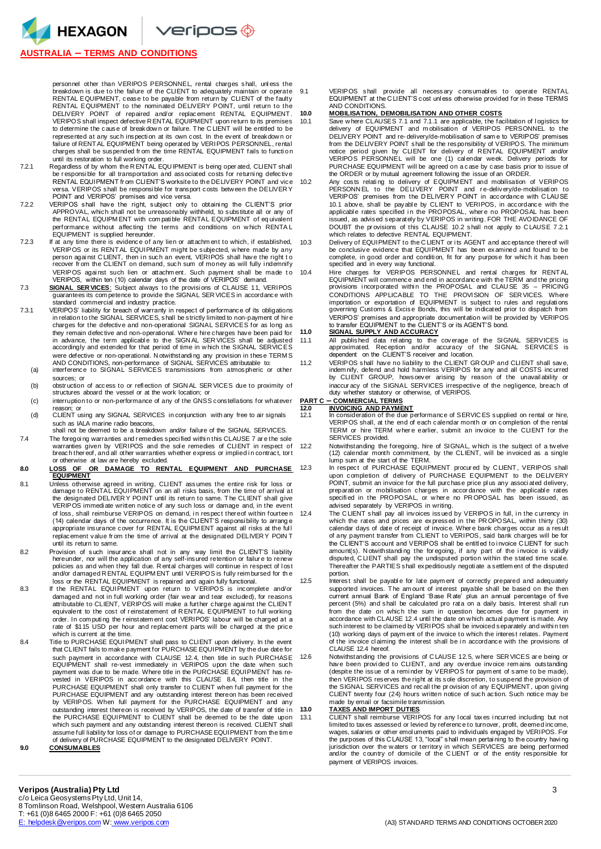HEXAGON

**AUSTRALIA – TERMS AND CONDITIONS**

DELIVERY POINT of repaired and/or replacement RENTAL EQUIPMENT. VERIPOS shall inspect defective R ENTAL EQUIPMENT upon return to its premises to determine the cause of breakdow n or failure. The C LIENT will be entitled to be represented at any such inspection at its own cost. In the event of breakdown or failure of RENTAL EQUIPMENT being operated by VERIPOS PERSONNEL, rental charges shall be suspended from the time RENTAL EQUIPMENT fails to function

personnel other than VERIPOS PERSONNEL, rental charges shall, unless the

 $\vee$ eripos $\circledast$ 

- until its restoration to full working order. 7.2.1 Regardless of by whom the R ENTAL EQU IPMENT is being oper ated, CLIENT shall be r esponsi ble for all transportation and associated costs for returni ng defective RENTAL EQUIPMENT fr om CLIENT'S worksite to the DELIVERY POINT and vice versa. VERIPOS shall be responsi ble for transport costs betw een the DELIVER Y POINT and VERIPOS' premises and vice versa.
- 7.2.2 VERIPOS shall have the right, subject only to obtaini ng the CLIENT'S prior APPROVAL, which shall not be unreasonably withheld, to substitute all or any of the RENTAL EQUIPM ENT with com pati ble RENTAL EQUIPMENT of eq uivalent performance without affecting the terms and conditions on w hich RENTA L EQUIPMENT is supplied hereunder.
- 7.2.3 If at any time there is evidence of any lien or attachm ent to which, if established, VERIPOS or its RENTAL EQUIPMENT might be subjected, w here made by any person against CLIENT, then in such an event, VERIPOS shall have the right to recover from the CLIENT on demand, such sum of money as will fully indemnify VERIPOS agai nst such lien or attachm ent. Such payment shall be made t o VERIPOS, within ten (10) calendar days of the date of VERIPOS' demand.
- 7.3 **SIGNAL SER VICES**: Subject always to the provisions of CLAUSE 11, VERIPOS<br>guarantees its competence to provide the SIGNAL SER VICES in accordance with standard commercial and industry practice.
- 7.3.1 VERIPOS' liability for breach of warranty in respect of performance of its obligations in relation to the SIGNAL SERVICES, shall be strictly limited to non-payment of hir e charges for the defective and non-operational SIGNAL SERVICES for as long as they remain defective and non-operational. Where hire charges have been paid for<br>in advance, the term applicable to the SIGNAL SERVICES shall be adjusted accordingly and extended for that period of time in w hich the SIGNAL SERVIC ES were defective or non-operational. N otwithstandi ng any provision in these TERM S AND CONDITIONS, non-performance of SIGNAL SERVICES attributable to:
	- (a) interference to SIGNAL SERVICES transmissions from atmospheric or other sources; or
	- (b) obstr uction of access to or refl ection of SIGN AL SER VICES due to proximity of structures aboard the vessel or at the work location; or
	- (c) interruption to or non-performance of any of the GNSS constellations for whatever reason; or (d) CLIENT using any SIGNAL SERVICES in conjunction with any free to air signals
	- such as IALA marine radio beacons. shall not be deemed to be a breakdown and/or failure of the SIGNAL SERVICES.
- 7.4 The foregoing warranties and remedies specified within this CLAUSE 7 are the sole warranties given by VERIPOS and the sole remedies of CLIENT in respect of breach ther eof, and all other warranties whether express or implied i n contract, tor t

### or otherwise at law are hereby excluded.<br>LOSS OF OR DAMAGE TO RENTAL **8.0 LOSS OF OR DAMAGE TO RENTAL EQUIPMENT AND PURCHASE EQUIPMENT**

- 8.1 Unless otherwise agreed in writing, CLIENT assumes the entire risk for loss or damage to RENTAL EQUIPMENT on an all risks basis, from the time of arrival at the designated DELIVER Y POINT until its return to same. The CLIENT shall give VERIPOS immedi ate written notice of any such loss or damage and, in the event of loss, shall reimburse VERIPOS on demand, in respect thereof within fourtee n<br>(14) calendar days of the occurrence. It is the CLIENT'S responsibility to arrange appropriate insurance cover for RENTAL EQUIPM ENT against all risks at the ful l replacement value from the time of arrival at the designated DELIVERY POIN T until its return to same.
- 8.2 Provision of such insurance shall not in any way limit the CLIENT'S liability hereunder, nor will the application of any self-insured retention or failur e to renew policies as and when they fall due. R ental charges will continue in respect of l ost and/or damaged R ENTAL EQUIPM ENT until VERIPOS is fully reim bursed for th e
- loss or the RENTAL EQUIPMENT is repaired and again fully functional. 8.3 If the RENTAL EQUIPMENT upon return to VERIPOS is incomplete and/or damaged and not in full working order (fair wear and tear excluded), for reasons<br>attributable to CLIENT, VERIPOS will make a further charge against the CLIENT<br>equivalent to the cost of reinstatement of R.ENTAL EQUIPMENT to order. In com puti ng the r einstatem ent cost VERIPOS' labour will be charged at a rate of \$115 USD per hour and replacement parts will be charged at the price which is current at the time.
- 8.4 Title to PURCHASE EQUIPMENT shall pass to CLIENT upon delivery. In the event that CLIENT fails to make payment for PURCHASE EQUIPMENT by the due date for such payment in accordance with CLAUSE 12.4, then title in such PURCHASE EQUIPMENT shall re-vest immediately in VERIPOS upon the date when such<br>payment was due to be made. Where title in the PURCHASE EQUIPMENT has re-<br>vested in VERIPOS in accordance with this CLAUSE 8.4, then title in the PURCHASE EQUIPMENT shall only transfer to CLIENT when full payment for the<br>PURCHASE EQUIPMENT and any outstanding interest thereon has been received<br>by VERIPOS. When full payment for the PURCHASE EQUIPMENT and any outstanding interest thereon is received by VERIPOS, the date of transfer of title in<br>the PURCHASE EQUIPMENT to CLIENT shall be deemed to be the date upon<br>which such payment and any outstanding interest thereon is received assume full liability for loss of or damage to PURCHASE EQUIPMENT from the tim e of delivery of PURCHASE EQUIPMENT to the designated DELIVERY POINT. **9.0 CONSUMABLES**

9.1 VERIPOS shall provide all necessary consumables to operate RENTAL EQUIPMENT at the C LIENT'S cost unl ess otherwise provided for in these TERMS AND CONDITIONS.

## **10.0 MOBILISATION, DEMOBILISATION AND OTHER COSTS**

- 10.1 Save w here CLAUSES 7.1 and 7.1.1 are applicable, the facilitation of logistics for delivery of EQUIPMENT and mobilisation of VERIPOS PERSONNEL to the DELIVERY POINT and re- delivery/de-mobilisation of sam e to VERIPOS' premises from the DELIVERY POINT shall be the responsibility of VERIPOS. The minimum notice period given by CLIENT for delivery of RENTAL EQUIPMENT and/or VERIPOS PERSONNEL will be one (1) cal endar week. Delivery periods for PURCHASE EQUIPMENT will be agreed on a case by case basis prior to issue of the ORDER or by mutual agreement following the issue of an ORDER.
- 10.2 Any costs relating to delivery of EQUIPMENT and mobilisation of VERIPOS<br>PERSONNEL to the DELIVERY POINT and re-delivery/de-mobilisation to<br>VERIPOS' premises from the DELIVERY POINT in accordance with CLAU SE 10.1 above, shall be payable by CLIENT to VERIPOS, in accordance with the<br>applicable rates specified in the PROPOSAL, where no PROPOSAL has been<br>issued, as advised separately by VERIPOS in writing. FOR THE AVOIDANCE OF DOUBT the pr ovisions of this CLAUSE 10.2 shall not apply to C LAUSE 7.2.1 which relates to defective RENTAL EQUIPMENT.
- 10.3 Delivery of EQUIPMENT to the C LIENT or i ts AGENT and acceptance thereof will be conclusive evidence that EQUIPMENT has been examined and found to be complete, in good order and condition, fit for any purpose for which it has been specified and in every way functional.
- 10.4 Hire charges for VERIPOS PERSONNEL and rental charges for RENTAL EQUIPMENT will commence and end in accordance with the TERM and the pricing provisions incorporated within the PROPOSAL and CLAU SE 35 - PRICING CONDITIONS APPLICABLE TO THE PROVISION OF SERVICES. Where<br>importation or exportation of EQUIPMENT is subject to rules and regulations<br>governing Customs & Excise Bonds, this will be indicated prior to dispatch from VERIPOS' premises and appropriate documentation will be provided by VERIPOS to transfer EQUIPMENT to the CLIENT'S or its AGENT'S bond. **11.0 SIGNAL SUPPLY AND ACCURACY**

- 11.1 All published data relating to the coverage of the SIGNAL SERVICES is<br>approximated. Reception and/or accuracy of the SIGNAL SERVICES is<br>dependent on the CLIENT'S receiver and location.
- 11.2 VERIPOS shall have no liability to the CLIENT GR OUP and CLIENT shall save, indem nify, defend and hold harmless VERIPOS for any and all COSTS incurred by CLIENT GROUP, howsoever arising by reason of the unavail ability or inaccur acy of the SIGNAL SERVICES irrespective of the negligence, breach of duty whether statutory or otherwise, of VERIPOS.

# **PART C – COMMERCIAL TERMS**<br>12.0 **INVOICING AND PAYME**

- **12.0 INVOICING AND PAYMENT**<br>12.1 In consideration of the due performance of SERVICES supplied on rental or hire, VERIPOS shall, at the end of each calendar month or on completion of the rental TERM or hire TERM where earlier, submit an invoice to the CLIENT for the SERVICES provided.
- 12.2 Notwithstanding the foregoing, hire of SIGNAL, w hich is the subject of a tw elve (12) calendar month commitment, by the CLIENT, will be invoiced as a single lump sum at the start of the TERM.
	- In respect of PURCHASE EQUIPMENT procured by CLIENT, VERIPOS shall upon completion of delivery of PURCHASE EQUIPMENT to the DELIVERY POINT, submit an invoice for the full purchase price pl us any associ ated delivery, preparation or mobilisation charges in accordance with the applicable rates<br>specified in the PROPOSAL, or where no PROPOSAL has been issued, as advised separately by VERIPOS in writing.
- 12.4 The CLIENT shall pay all invoices issued by VERIPOS in full, in the currency in which the rates and prices are expressed in the PR OPOSAL, within thirty (30) calendar days of date of receipt of invoice. Wher e bank charges occur as a result of any payment transfer from CLIENT to VERIPOS, said bank charges will be for the CLIENT'S account and VERIPOS shall be entitled to invoice CLIENT for such amount(s). N otwithstandi ng the for egoing, if any part of the i nvoice is validly disputed, C LIENT shall pay the undisputed portion within the stated time scal e. Thereafter the PARTIES shall expeditiously negoti ate a settlem ent of the disputed
- portion. 12.5 Interest shall be payabl e for late paym ent of correctly prepared and adequately supported invoices. The am ount of interest payable shall be based on the then current annual Bank of England 'Base R ate' plus an annual percentage of five percent (5%) and shall be calculated pro rata on a daily basis. Interest shall run from the date on which the sum in question becomes due for payment in accordance with CLAUSE 12.4 until the date on w hich actual payment is made. Any such interest to be claimed by VERIPOS shall be invoiced separately and withi n ten (10) working days of paym ent of the invoice to which the interest relates. Payment of the invoice claiming the interest shall be in accordance with the provisions of CLAUSE 12.4 hereof.
- 12.6 Notwithstanding the provisions of C LAUSE 12.5, w here SER VICES ar e being or have been provi ded to CLIENT, and any overdue invoice rem ains outstanding (despite the issue of a remi nder by VERIPOS for paym ent of same to be made), then VERIPOS reserves the right at its sole discretion, to suspend the provision of the SIGNAL SERVICES and recall the pr ovision of any EQUIPMENT, upon giving CLIENT twenty four (24) hours written notice of such action. Such notice may be made by email or facsimile transmission.

## **13.0 TAXES AND IMPORT DUTIES**

13.1 CLIENT shall reimburse VERIPOS for any l ocal taxes i ncurred including but not limited to taxes assessed or levied by reference to turnover, profit, deemed income, wages, salaries or other emoluments paid to individuals engaged by VERIPOS. For<br>the purposes of this CLAUSE 13, "local" shall mean pertaining to the country having<br>jurisdiction over the waters or territory in which SERVICE payment of VERIPOS invoices.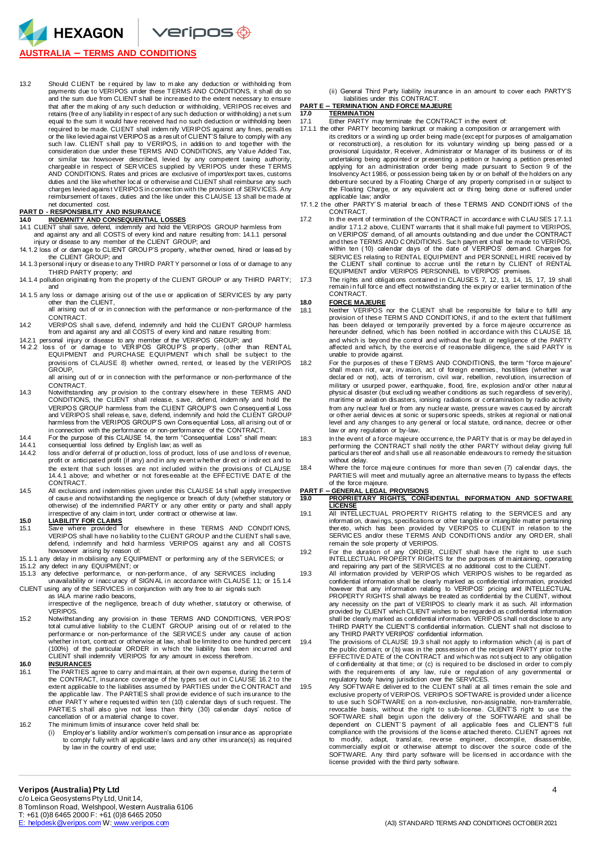HEXAGON  $\vee$ eripos $\circledast$ 

## **AUSTRALIA – TERMS AND CONDITIONS**

13.2 Should CLIENT be required by law to make any deduction or withholding from<br>payments due to VERIPOS under these TERMS AND CONDITIONS, it shall do so and the sum due from CLIENT shall be increased to the extent necessary to ensure that after the m aking of any such deduction or withholding, VERIPOS receives and retains (free of any liability in r espect of any such deduction or withholding) a net sum equal to the sum it would have received had no such deduction or withholdi ng been required to be made. CLIENT shall indem nify VERIPOS against any fines, penalti es or the like levied against VERIPOS as a result of CLIENT'S failure to comply with any<br>such Iaw. CLIENT shall pay to VERIPOS, in addition to and together with the<br>consideration due under these TERMS AND CONDITIONS or similar tax howsoever described, levied by any competent taxing authority,<br>chargeable in respect of SERVICES supplied by VERIPOS under these TERMS<br>AND CONDITIONS. Rates and prices are exclusive of import/export taxes, c duties and the like whether local or otherwise and CLIENT shall reimburse any such charges levied against VERIPOS in connection with the provision of SERVICES. Any reimbursement of taxes, duties and the like under this C LAUSE 13 shall be made at net documented cost.

### **PART D - RESPONSIBILITY AND INSURANCE**

- **14.0 INDEMNITY AND CONSEQUENTIAL LOSSES**  14.1 CLIENT shall save, defend, indemnify and hold the VERIPOS GROUP harmless from and against any and all COSTS of every kind and nature resulting from: 14.1.1 personal injury or disease to any member of the CLIENT GROUP; and
- 14.1.2 loss of or dam age to CLIENT GROU P'S property, whether owned, hired or leased by the CLIENT GROUP; and
- 14.1.3 personal i njury or disease to any THIRD PARTY personnel or l oss of or damage to any THIRD PARTY property; and
- 14.1.4 pollution originating from the property of the CLIENT GROUP or any THIRD PARTY; 17.3 and
- 14.1.5 any loss or damage arising out of the use or applicati on of SERVICES by any party other than the CLIENT, all arising out of or in connection with the performance or non-performance of the
- CONTRACT.
- 14.2 VERIPOS shall save, defend, indemnify and hold the CLIENT GROUP harmless from and against any and all COSTS of every kind and nature resulting from:
- 14.2.1 personal injury or disease to any member of the VERIPOS GROUP; and 14.2.2 loss of or damage to VERIPOS GROUP'S property, (other than RENTAL<br>EQUIPMENT and PURCHASE EQUIPMENT which shall be subject to the provisi ons of CLAUSE 8) whether owned, rented, or leased by the VERIPOS GROUP,
	- all arising out of or in connection with the performance or non-performance of the CONTRACT.
- 14.3 Notwithstanding any pr ovision to the contrary elsew here in these TERMS AND CONDITIONS, the CLIENT shall release, save, defend, indem nify and hold the VERIPOS GROUP harmless from the CLIENT GROUP'S own C onsequenti al Loss and VERIPOS shall release, save, defend, indemnify and hold the CLIENT GROUP harmless from the VERIPOS GROUP'S own Consequential Loss, all arising out of or in connection with the performance or non-performance of the CONTRACT.
- 14.4 For the purpose of this CLAUSE 14, the term "Consequential Loss" shall mean: 14.4.1 consequential loss defined by English law; as well as
- 
- 14.4.2 loss and/or deferral of pr oducti on, loss of product, loss of use and loss of r evenue, profit or antici pated profit (if any) and in any event w hether dir ect or i ndir ect and to the extent that such losses are not included within the provisions of CLAUSE 14.4.1 above; and whether or not foreseeable at the EFFECTIVE DATE of the CONTRACT.
- 14.5 All exclusions and i ndem nities given under this CLAUSE 14 shall apply irrespective of cause and notwithstandi ng the negligence or breach of duty (whether statutory or otherwise) of the indemnified PARTY or any other entity or party and shall apply irrespective of any claim in tort, under contract or otherwise at law. **15.0 LIABILITY FOR CLAIMS**
- 
- 15.1 Save where provi ded for elsewhere in these TERMS AND CONDITIONS, VERIPOS shall have no liability to the CLIENT GROUP and the CLIENT shall save,<br>defend, indemnify and hold harmless VERIPOS against any and all COSTS howsoever arising by reason of:
- 15.1.1 any delay in m obilising any EQUIPMENT or performing any of the SERVICES; or 15.1.2 any defect in any EQUIPMENT; or
- 15.1.3 any defective performance, or non-perform ance, of any SERVICES including unavailability or i naccuracy of SIGN AL i n accordance with CLAUSE 11; or 15.1.4
- CLIENT using any of the SERVICES in conjunction with any free to air signals such
	- as IALA marine radio beacons irrespective of the negligence, breach of duty whether, statutory or otherwise, of VERIPOS.
- 15.2 Notwithstanding any provisi on in these TERMS AND CONDITIONS, VER IPOS' total cumul ative liability to the C LIENT GROUP arising out of or rel ated to the performance or non-performance of the SER VICES under any cause of action whether in tort, contract or otherwise at law, shall be limited to one hundred percent<br>(100%) of the particular ORDER in which the liability has been incurred and CLIENT shall indemnify VERIPOS for any amount in excess therefrom.

### **16.0 INSURANCES**

- 16.1 The PARTIES agree to carry and maintain, at their own expense, during the term of the CONTRACT, insurance coverage of the types set out in CLAUSE 16.2 to the extent applicable to the liabilities assumed by PARTIES und other PARTY wher e requested within ten (10) calendar days of such request. The PARTIES shall also give not less than thirty (30) cal endar days' notice of cancellation of or a material change to cover.
- 16.2 The minimum limits of insurance cover held shall be:<br>(i) Employer's liability and/or workmen's compens
	- Employer's liability and/or workmen's com pensation insur ance as appropriate to comply fully with all applicabl e laws and any other insurance(s) as required by law in the country of end use;

(ii) General Third Party liability insurance in an amount to cover each PARTY'S liabilities under this CONTRACT. **PART E – TERMINATION AND FORCE MAJEURE** 

## **17.0 TERMINATION**

- 17.1 Either PARTY may terminate the CONTRACT in the event of:
- 17.1.1 the other PARTY becoming bankrupt or making a composition or arrangement with its creditors or a winding up order being made (except for purposes of amalgamation<br>or reconstruction), a resolution for its voluntary winding up being passed or a<br>provisional Liquidator, Receiver, Administrator or Manager undertaking being appoi nted or pr esenting a petition or having a petition presented applying for an administration order being made pursuant to Section 9 of the Insolvency Act 1986, or possession being taken by or on behalf of the holders on any debenture secured by a Floating Charge of any property comprised in or subject to<br>the Floating Charge, or any equivalent act or thing being done or suffered under applicable law: and/or
- 17.1.2 the other PARTY' S m aterial br each of these TERMS AND CONDITIONS of the CONTRACT.
- 17.2 In the event of termination of the CONTRACT in accordance with C LAU SES 17.1.1 and/or 17.1.2 above, CLIENT warrants that it shall make full payment to VERIPOS, on VERIPOS' demand, of all amounts outstandi ng and due under the CONTRACT and these TERMS AND C ONDITIONS. Such paym ent shall be made to VERIPOS, within ten ( 10) calendar days of the date of VERIPOS' dem and. Charges for SERVIC ES relating to RENTAL EQUIPMENT and PER SONNEL H IRE received by the CLIENT shall continue to accrue until the return by CLIENT of RENTAL<br>EQUIPMENT and/or VERIPOS PERSONNEL to VERIPOS' premises.
	- The rights and obligations contained in CLAUSES 7, 12, 13, 14, 15, 17, 19 shall remain in full force and effect notwithstanding the expiry or earlier termination of the CONTRACT.

## **18.0 FORCE MAJEURE**

- 18.1 Neither VERIPOS nor the CLIENT shall be responsible for failure to fulfil any<br>provision of these TERMS AND CONDITIONS, if and to the extent that fulfilment has been delayed or tem porarily prevented by a force m ajeure occurrence as hereunder defined, which has been notified in accordance with this C LAUSE 18, and which is beyond the control and without the fault or negligence of the PARTY affected and which, by the exercise of reasonable diligence, the said PARTY is unable to provide against.
- 18.2 For the purposes of these TERMS AND CONDITIONS, the term "force m ajeure" shall m ean riot, w ar, invasion, act of foreign enemies, hostilities (whether w ar declar ed or not), acts of terrorism, civil war, rebellion, revol ution, insurrection of military or usurped power, earthquake, flood, fire, explosion and/or other natural physical disaster (but excl udi ng weather conditions as such regardless of severity), maritime or aviati on disasters, ionising radiations or contamination by radio activity from any nucl ear fuel or from any nuclear waste, pressure waves caused by aircraft or other aerial devices at sonic or supersonic speeds, strikes at regional or nati onal level and any changes to any general or local statute, ordi nance, decree or other law or any regulation or by-law.
- 18.3 In the event of a force majeure occurrence, the PARTY that is or may be del ayed in performing the CONTRACT shall notify the other PARTY without delay giving full particul ars ther eof and shall use all reasonable endeavours to remedy the situation parable ...
- 18.4 Where the force maj eure continues for more than seven (7) cal endar days, the PARTIES will meet and mutually agree an alternative means to bypass the effects of the force majeure.

## **PART F – GENERAL LEGAL PROVISIONS 19.0 PROPRIETARY RIGHTS, CONFIDENTIAL INFORMATION AND SOFTWARE LICENSE**

- 19.1 All INTELLECTUAL PROPERTY RIGHTS rel ating to the SERVICES and any informati on, drawi ngs, specifications or other tangibl e or i ntangible matter pertai ning ther eto, which has been provided by VERIPOS to CLIENT in relation to the SERVIC ES and/or these TERMS AND CONDITIONS and/or any ORD ER, shall remain the sole property of VERIPOS.
- 19.2 For the duration of any ORDER, CLIENT shall have the right to use such INTELLECTUAL PR OPERTY RIGHTS for the purposes of m aintaining, operating and repairing any part of the SERVICES at no additional cost to the CLIENT.
- 19.3 All information provided by VERIPOS which VERIPOS wishes to be regarded as confidential information shall be clearly marked as confidential information, provided however that any information relating to VERIPOS' pricing and INTELLECTUAL PROPERTY RIGHTS shall always be treated as confidential by the CLIENT, without any necessity on the part of VERIPOS to clearly mark it as such. All information provided by CLIENT which CLIENT wishes to be regarded as confidential information shall be clearly marked as confidential information. VERIPOS shall not disclose to any THIRD PARTY the CLIENT'S confidential information. CLIENT shall not disclose to any THIRD PARTY VERIPOS' confidential information.
- 19.4 The provisions of CLAUSE 19.3 shall not apply to information which (a) is part of<br>the public domain; or (b) was in the possession of the recipient PARTY prior to the<br>EFFECTIVE DATE of the CONTRACT and which was not su of confi dentiality at that time; or (c) is required to be disclosed in order to com ply with the requirem ents of any law, rule or regulation of any governmental or<br>regulatory body having jurisdiction over the SERVICES.<br>19.5 Any SOFTWARE delivered to the CLIENT shall at all times remain the sole and
	- exclusive property of VERIPOS. VERIPOS SOFTWARE is provided under a licence to use such SOFTWARE on a non-exclusive, non-assignable, non-transferrable, revocable basis, without the right to sub-license. CLIENT'S right to use the SOFTWARE shall begin upon the delivery of the SOFTWARE and shall be dependent on CLIENT'S payment of all applicable fees and CLIENT'S full compliance with the provisions of the license attached thereto. CLIENT agrees not<br>to modify, adapt, translate, reverse engineer, decompile, disassemble,<br>commercially exploit or otherwise attempt to discover the source code SOFTWARE. Any third party software will be licensed in accordance with the license provided with the third party software.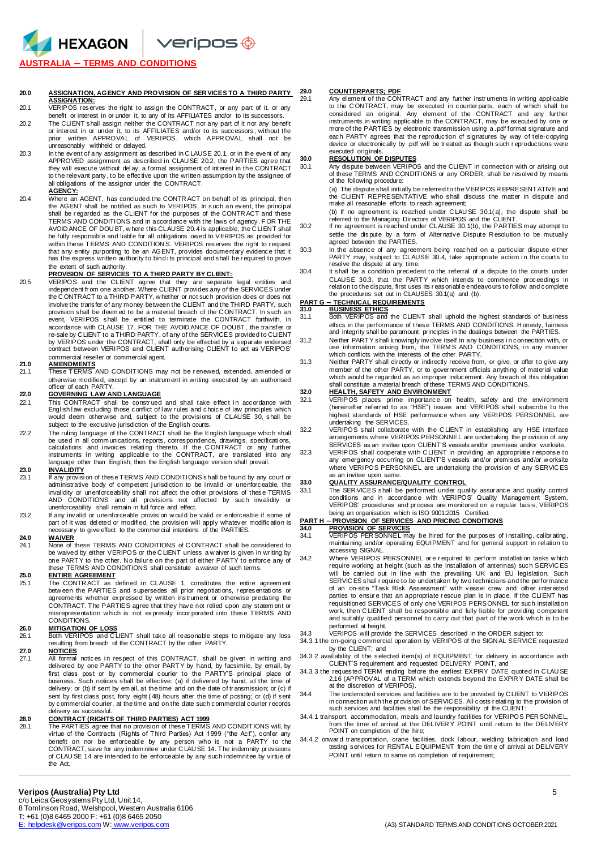**Veripos ®** 

## **AUSTRALIA – TERMS AND CONDITIONS**

HEXAGON

## **20.0 ASSIGNATION, AGENCY AND PROVISION OF SER VICES TO A THIRD PARTY**

- **ASSIGNATION:**  20.1 VERIPOS reserves the right to assign the CONTRACT, or any part of it, or any benefit or interest in or under it, to any of its AFFILIATES and/or to its successors.
- 20.2 The CLIENT shall assign neither the CONTRACT nor any part of it nor any benefit or interest in or under it, to its AFFILIATES and/or to its successors, without the prior written APPROVAL of VERIPOS, which APPR OVAL shall not be unreasonably withheld or delayed.
- 20.3 In the event of any assignment as described in CLAUSE 20.1, or in the event of any APPROVED assignment as described in CLAUSE 20.2, the PARTIES agree that<br>they will execute without delay, a formal assignment of interest in the CONTRACT<br>to the relevant party, to be effective upon the written assumption by all obligations of the assignor under the CONTRACT.

### **AGENCY:**

20.4 Where an AGENT, has concluded the CONTR ACT on behalf of its principal, then the AGENT shall be notified as such to VERIPOS. In such an event, the principal shall be r egarded as the CLIENT for the purposes of the CONTR ACT and these TERMS AND CONDITIONS and in accordance with the laws of agency. FOR THE AVOID ANCE OF DOU BT, w here this CLAUSE 20.4 is applicable, the C LIENT shall be fully responsibl e and liabl e for all obligations owed to VERIPOS as provided for within these TERMS AND CONDITION S. VERIPOS reserves the right to r equest that any entity purporting to be an AGENT, provides documentary evidence that it<br>has the express written authority to bind its principal and shall be required to prove the extent of such authority.

## **PROVISION OF SERVICES TO A THIRD PARTY BY CLIENT:**

20.5 VERIPOS and the CLIENT agree that they are separate legal entities and<br>independentfrom one another.Where CLIENT provides any ofthe SERVICES under<br>the CONTRACT to a THIRD PARTY, whether or not such provision does or do involve the transfer of any money between the CLIENT and the THIRD PARTY, such provision shall be deem ed to be a material breach of the C ONTRACT. In such an event, VERIPOS shall be entitl ed to terminate the CONTRACT forthwith, in accordance with CLAUSE 17. FOR THE AVOID ANCE OF DOUBT, the transfer or re-sale by C LIENT to a THIRD PARTY, of any of the SERVICES provided to CLIENT<br>by VERIPOS under the CONTRACT, shall only be effected by a separate endorsed<br>contract between VERIPOS and CLIENT authorising CLIENT to act as V commercial reseller or commercial agent.

**21.0 AMENDMENTS**  21.1 These TERMS AND CONDITIONS may not be r enewed, extended, am ended or otherwise modified, except by an instrum ent in writing executed by an authorised officer of each PARTY.

### **22.0 GOVERNING LAW AND LANGUAGE**

- 22.1 This CONTRACT shall be construed and shall take effect in accordance with English I aw excluding those conflict of I aw rules and choice of law principles which would deem otherwise and, subject to the provisi ons of CLAUSE 30, shall be subject to the exclusive jurisdiction of the English courts.
- 22.2 The ruling language of the CONTRACT shall be the English language which shall be used in all communications, reports, correspondence, drawings, specifications,<br>calculations and invoices relating thereto. If the CONTRACT or any further<br>instruments in writing applicable to the CONTRACT, are translated

# **23.0 INVALIDITY**<br>23.1 **If any provisi**

- 23.1 If any provisi on of these TERMS AND CONDITIONS shall be found by any court or administrative body of competent j urisdiction to be i nvalid or unenforceable, the invalidity or unenforceability shall not affect the other pr ovisions of these TERMS AND CONDITIONS and all provisions not affected by such invalidity or unenforceability shall remain in full force and effect.
- 23.2 If any invalid or unenforceable provision would be valid or enforceable if some of part of it was del eted or modified, the provision will apply whatever modification is necessary to give effect to the commercial intentions of the PARTIES.

## **24.0 WAIVER**

None of these TERMS AND CONDITIONS of CONTRACT shall be considered to be waived by either VERIPOS or the C LIENT unless a w aiver is given in writing by one PARTY to the other. No failure on the part of either PARTY to enforce any of these TERMS AND CONDITIONS shall constitute a waiver of such terms.

### **25.0 ENTIRE AGREEMENT**

25.1 The CONTR ACT as defined in CLAUSE 1, constitutes the entire agreement betw een the PARTIES and supersedes all prior negotiati ons, r epresentati ons or agreements whether expressed by written instrument or otherwise predating the CONTRACT. The PARTIES agree that they have not relied upon any statem ent or misrepresentation w hich is not expressly incor porated i nto these TERMS AND CONDITIONS.

**26.0 MITIGATION OF LOSS**  26.1 Both VERIPOS and C LIENT shall take all reasonable steps to mitigate any loss resulting from breach of the CONTRACT by the other PARTY.

# **27.0 NOTICES**

27.1 All formal notices in respect of this CONTRACT, shall be given in writing and<br>delivered by one PARTY to the other PARTY by hand, by facsimile, by email, by<br>first class post or by commercial courier to the PARTY'S prin business. Such notices shall be effective: (a) if delivered by hand, at the time of delivery; or (b) if sent by em ail, at the time and on the date of tr ansmission; or (c) if sent by first class post, forty eight ( 48) hours after the time of posting; or (d) if sent by commercial courier, at the time and on the date such commercial courier r ecords delivery as successful.

28.0 CONTRACT (RIGHTS OF THIRD PARTIES) ACT 1999<br>28.1 The PARTIES agree that no provision of these TERMS AND CONDITIONS will, by<br> virtue of the Contracts (Rights of Third Parties) Act 1999 ("the Act"), confer any benefit on nor be enforceable by any person who is not a PARTY to the CONTRACT, save for any indem nitee under C LAU SE 14. The indemnity pr ovisions of CLAU SE 14 are intended to be enforceabl e by any such i ndemnitee by virtue of the Act.

### **29.0 COUNTERPARTS; PDF**

29.1 Any el ement of the CONTRACT and any further instr uments in writing applicable to the C ONTRACT, may be executed in counter parts, each of w hich shall be considered an original. Any elem ent of the CONTRACT and any further instruments in writing applicable to the CONTRACT, may be executed by one or more of the PARTIES by electronic transmission using a .pdf format signature and each PARTY agrees that the r eproduction of signatures by way of tele-copying device or electronically by .pdf will be tr eated as though such r eproductions were executed originals.

## **30.0 RESOLUTION OF DISPUTES**

30.1 Any dispute between VERIPOS and the CLIENT in connection with or arising out of these TERMS AND CONDITIONS or any ORDER, shall be resolved by means of the following procedure:

(a) The dispute shall initi ally be referred to the VERIPOS R EPRESENTATIVE and the CLIENT REPRESENTATIVE who shall discuss the matter in dispute and make all reasonable efforts to reach agreement;

- (b) If no agreement is reached under C LAU SE 30.1( a), the dispute shall be referred to the Managing Directors of VERIPOS and the CLIENT. 30.2 If no agreement is reached under CLAUSE 30.1(b), the PARTIES m ay attempt to
	- settle the dispute by a form of Alter native Dispute R esolution to be mutually agreed between the PARTIES.
- 30.3 In the absence of any agreement being reached on a particular dispute either PARTY may, subject to CLAUSE 30.4, take appropriate action in the courts to
- resolve the dispute at any time. 30.4 It shall be a condition precedent to the referral of a dispute to the courts under CLAUSE 30.3, that the PARTY which intends to commence proceedings in relation to the dispute, first uses its r easonabl e endeavours to follow and complete the procedures set out in CLAUSES 30.1(a) and (b).

# **PART G – TECHNICAL REQUIREMENTS 31.0 BUSINESS ETHICS**

31.0 Both VERIPOS and the CLIENT shall uphold the highest standards of business ethics in the performance of these TERMS AND CONDITIONS. H onesty, fairness and integrity shall be paramount principles in the dealings between the PARTIES.

- 31.2 Neither PARTY s hall knowingly involve itself in any business i n connection with, or use information arising from, the TERMS AND CONDITIONS, in any manner<br>which conflicts with the interests of the other PARTY.
- 31.3 Neither PARTY shall directly or indirectly receive from, or give, or offer to give any member of the other PARTY, or to government officials anything of material value<br>which would be regarded as an improper inducement. Any breach of this obligation<br>shall constitute a material breach of these TERMS AND CONDIT

### **32.0 HEALTH, SAFETY AND ENVIRONMENT**

32.1 VERIPOS places prime importance on health, safety and the environment (hereinafter referred to as "HSE") issues and VERIPOS shall subscribe to the highest standards of HSE performance when any VERIPOS PERSONNEL are undertaking the SERVICES.

32.2 VERIPOS shall collaborate with the C LIENT in establishing any HSE i nterface arrangements where VERIPOS PERSONNEL are undertaking the pr ovision of any SERVICES as an invitee upon CLIENT'S vessels and/or premises and/or worksite.

32.3 VERIPOS shall cooperate with C LIENT in provi ding an appropriate r esponse to any emergency occurring on CLIENT'S vessels and/or premises and/or w orksite where VERIPOS PERSONNEL are undertaking the provision of any SERVICES as an invitee upon same.

## **33.0 QUALITY ASSURANCE/QUALITY CONTROL**

33.1 The SERVICES shall be performed under quality assurance and quality control<br>conditions and in accordance with VERIPOS' Quality Management System.<br>VERIPOS' procedures and process are monitored on a regular basis, VERIP being an organisation which is ISO 9001:2015 Certified.

**PART H – PROVISION OF SERVICES AND PRICING CONDITIONS**<br>34.0 PROVISION OF SERVICES<br>34.1 VERIPOS PERSONNEL may be hired for the purposes of installing, calibrating,<br>maintaining and/or operating EQUIPMENT and for general sup accessing SIGNAL.

- 34.2 Where VERIPOS PERSONNEL are required to perform installation tasks which require working at height (such as the installation of antennas) such SERVIC ES will be carried out in line with the prevailing UK and EU legislation. Such SERVIC ES shall require to be undertaken by two technicians and the performance of an on-site "Task Risk Assessment" with vessel crew and other i nter ested parties to ensur e that an appropriate r escue plan is in place. If the CLIENT has requisitioned SERVICES of only one VERIPOS PERSONNEL for such installation work, then C LIENT shall be responsibl e and fully liable for provi ding competent and suitably qualified personnel to carry out that part of the w ork which is to be performed at height.
- 34.3 VERIPOS will provide the SERVICES described in the ORDER subject to:
- 34.3.1 the on-going commercial operation by VER IPOS of the SIGN AL SERVICE requested by the CLIENT; and

34.3.2 avail ability of the selected item(s) of EQUIPMENT for delivery in accordance with CLIENT'S requirement and requested DELIVERY POINT, and

- 34.3.3 the requested TERM ending before the earliest EXPIRY DATE quoted in C LAU SE 2.16 (APPROVAL of a TERM which extends beyond the EXPIR Y DATE shall be at the discretion of VERIPOS).
- 34.4 The undernoted services and facilities are to be provided by C LIENT to VERIPOS in connection with the pr ovision of SERVIC ES. All costs r elati ng to the provision of such services and facilities shall be the responsibility of the CLIENT:
- 34.4.1 transport, accommodation, meals and laundry facilities for VERIPOS PER SONNEL, from the time of arrival at the DELIVER Y POINT until return to the DELIVERY POINT on completion of the hire;
- 34.4.2 onward transportation, crane facilities, dock labour, welding fabrication and load testing services for RENTAL EQUIPMENT from the time of arrival at DELIVERY POINT until return to same on completion of requirement;